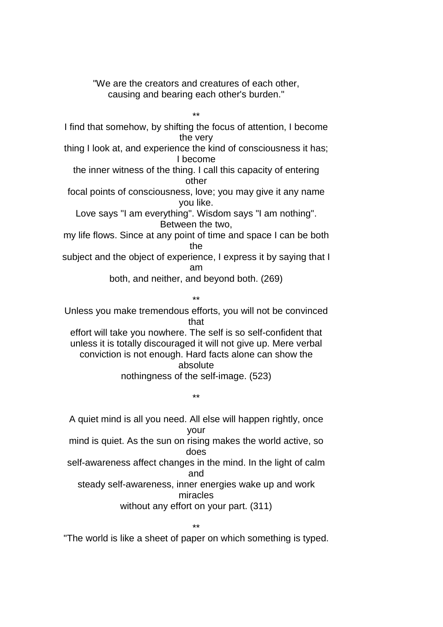"We are the creators and creatures of each other, causing and bearing each other's burden."

\*\* I find that somehow, by shifting the focus of attention, I become the very thing I look at, and experience the kind of consciousness it has; I become the inner witness of the thing. I call this capacity of entering other focal points of consciousness, love; you may give it any name you like. Love says "I am everything". Wisdom says "I am nothing". Between the two, my life flows. Since at any point of time and space I can be both the subject and the object of experience, I express it by saying that I am both, and neither, and beyond both. (269) \*\* Unless you make tremendous efforts, you will not be convinced

that effort will take you nowhere. The self is so self-confident that unless it is totally discouraged it will not give up. Mere verbal conviction is not enough. Hard facts alone can show the absolute nothingness of the self-image. (523)

\*\*

A quiet mind is all you need. All else will happen rightly, once your mind is quiet. As the sun on rising makes the world active, so does self-awareness affect changes in the mind. In the light of calm and steady self-awareness, inner energies wake up and work miracles without any effort on your part. (311)

\*\*

"The world is like a sheet of paper on which something is typed.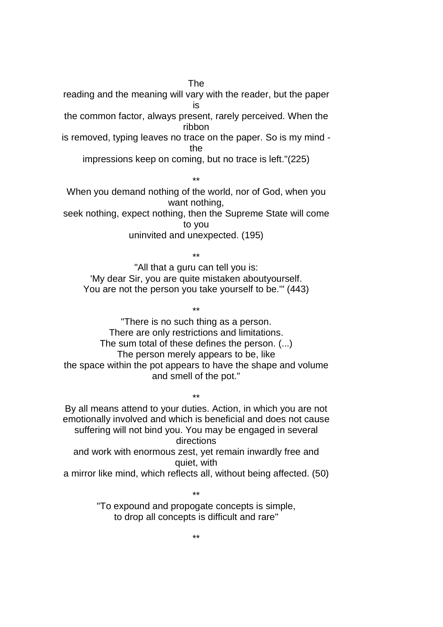The

reading and the meaning will vary with the reader, but the paper is the common factor, always present, rarely perceived. When the ribbon

is removed, typing leaves no trace on the paper. So is my mind the

impressions keep on coming, but no trace is left."(225)

\*\*

When you demand nothing of the world, nor of God, when you want nothing,

seek nothing, expect nothing, then the Supreme State will come to you

uninvited and unexpected. (195)

\*\* "All that a guru can tell you is: 'My dear Sir, you are quite mistaken aboutyourself. You are not the person you take yourself to be.'" (443)

\*\* "There is no such thing as a person. There are only restrictions and limitations. The sum total of these defines the person. (...) The person merely appears to be, like the space within the pot appears to have the shape and volume and smell of the pot."

\*\* By all means attend to your duties. Action, in which you are not emotionally involved and which is beneficial and does not cause suffering will not bind you. You may be engaged in several directions and work with enormous zest, yet remain inwardly free and quiet, with a mirror like mind, which reflects all, without being affected. (50)

> \*\* "To expound and propogate concepts is simple, to drop all concepts is difficult and rare"

> > \*\*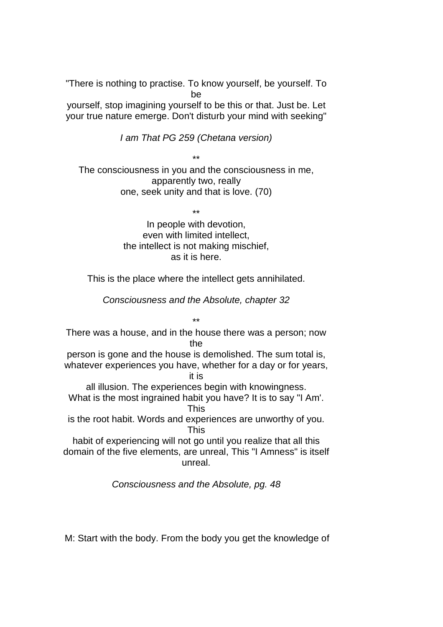"There is nothing to practise. To know yourself, be yourself. To be

yourself, stop imagining yourself to be this or that. Just be. Let your true nature emerge. Don't disturb your mind with seeking"

I am That PG 259 (Chetana version)

\*\* The consciousness in you and the consciousness in me, apparently two, really one, seek unity and that is love. (70)

\*\*

In people with devotion, even with limited intellect, the intellect is not making mischief, as it is here.

This is the place where the intellect gets annihilated.

Consciousness and the Absolute, chapter 32

\*\* There was a house, and in the house there was a person; now the

person is gone and the house is demolished. The sum total is, whatever experiences you have, whether for a day or for years, it is

all illusion. The experiences begin with knowingness. What is the most ingrained habit you have? It is to say "I Am'. This

is the root habit. Words and experiences are unworthy of you. This

habit of experiencing will not go until you realize that all this domain of the five elements, are unreal, This "I Amness" is itself unreal.

Consciousness and the Absolute, pg. 48

M: Start with the body. From the body you get the knowledge of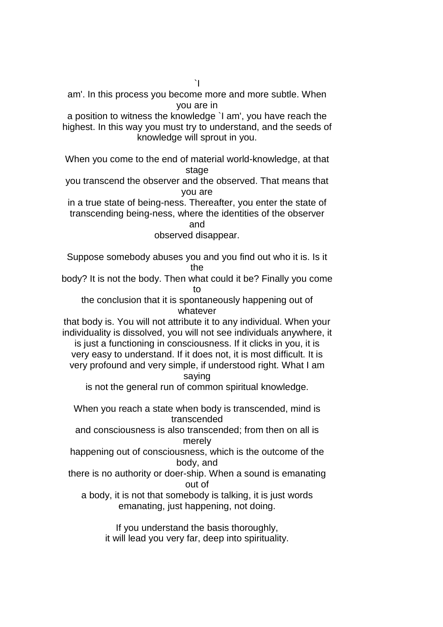am'. In this process you become more and more subtle. When you are in

a position to witness the knowledge `I am', you have reach the highest. In this way you must try to understand, and the seeds of knowledge will sprout in you.

When you come to the end of material world-knowledge, at that stage

you transcend the observer and the observed. That means that you are

in a true state of being-ness. Thereafter, you enter the state of transcending being-ness, where the identities of the observer and

observed disappear.

Suppose somebody abuses you and you find out who it is. Is it the

body? It is not the body. Then what could it be? Finally you come to

the conclusion that it is spontaneously happening out of whatever

that body is. You will not attribute it to any individual. When your individuality is dissolved, you will not see individuals anywhere, it is just a functioning in consciousness. If it clicks in you, it is very easy to understand. If it does not, it is most difficult. It is very profound and very simple, if understood right. What I am saying

is not the general run of common spiritual knowledge.

When you reach a state when body is transcended, mind is transcended

and consciousness is also transcended; from then on all is merely

happening out of consciousness, which is the outcome of the body, and

there is no authority or doer-ship. When a sound is emanating out of

a body, it is not that somebody is talking, it is just words emanating, just happening, not doing.

> If you understand the basis thoroughly, it will lead you very far, deep into spirituality.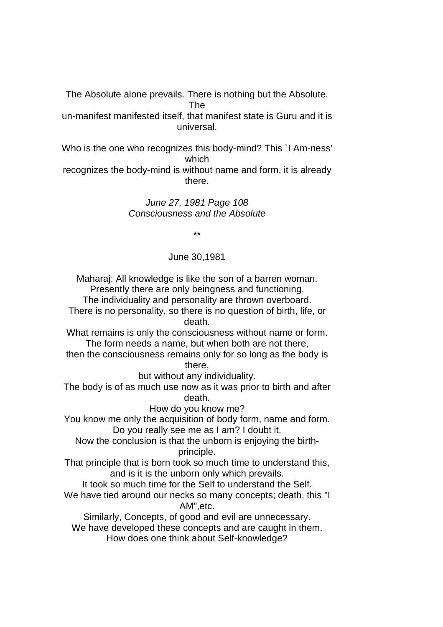The Absolute alone prevails. There is nothing but the Absolute. The

un-manifest manifested itself, that manifest state is Guru and it is universal.

Who is the one who recognizes this body-mind? This `I Am-ness' which recognizes the body-mind is without name and form, it is already

there.

June 27, 1981 Page 108 Consciousness and the Absolute

\*\*

## June 30,1981

Maharaj: All knowledge is like the son of a barren woman. Presently there are only beingness and functioning.

The individuality and personality are thrown overboard. There is no personality, so there is no question of birth, life, or death.

What remains is only the consciousness without name or form. The form needs a name, but when both are not there,

then the consciousness remains only for so long as the body is there,

but without any individuality.

The body is of as much use now as it was prior to birth and after death.

How do you know me?

You know me only the acquisition of body form, name and form. Do you really see me as I am? I doubt it.

Now the conclusion is that the unborn is enjoying the birthprinciple.

That principle that is born took so much time to understand this, and is it is the unborn only which prevails.

It took so much time for the Self to understand the Self.

We have tied around our necks so many concepts; death, this "I AM",etc.

Similarly, Concepts, of good and evil are unnecessary. We have developed these concepts and are caught in them. How does one think about Self-knowledge?